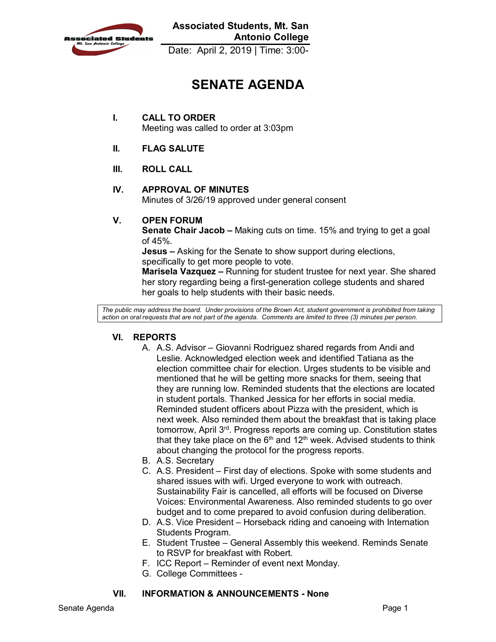

**Associated Students, Mt. San Antonio College** 

Date: April 2, 2019 | Time: 3:00-

# **SENATE AGENDA**

 **I. CALL TO ORDER** Meeting was called to order at 3:03pm

## **II. FLAG SALUTE**

## **III. ROLL CALL**

## **IV. APPROVAL OF MINUTES**

Minutes of 3/26/19 approved under general consent

## **V. OPEN FORUM**

 **Senate Chair Jacob –** Making cuts on time. 15% and trying to get a goal of 45%.

**Jesus –** Asking for the Senate to show support during elections, specifically to get more people to vote.

**Marisela Vazquez –** Running for student trustee for next year. She shared her story regarding being a first-generation college students and shared her goals to help students with their basic needs.

 *action on oral requests that are not part of the agenda. Comments are limited to three (3) minutes per person. The public may address the board. Under provisions of the Brown Act, student government is prohibited from taking* 

## **VI. REPORTS**

- A. A.S. Advisor Giovanni Rodriguez shared regards from Andi and mentioned that he will be getting more snacks for them, seeing that they are running low. Reminded students that the elections are located that they take place on the 6<sup>th</sup> and 12<sup>th</sup> week. Advised students to think about changing the protocol for the progress reports. Leslie. Acknowledged election week and identified Tatiana as the election committee chair for election. Urges students to be visible and in student portals. Thanked Jessica for her efforts in social media. Reminded student officers about Pizza with the president, which is next week. Also reminded them about the breakfast that is taking place tomorrow, April 3<sup>rd</sup>. Progress reports are coming up. Constitution states
- B. A.S. Secretary
- C. A.S. President First day of elections. Spoke with some students and shared issues with wifi. Urged everyone to work with outreach. Sustainability Fair is cancelled, all efforts will be focused on Diverse Voices: Environmental Awareness. Also reminded students to go over budget and to come prepared to avoid confusion during deliberation.
- D. A.S. Vice President Horseback riding and canoeing with Internation Students Program.
- E. Student Trustee General Assembly this weekend. Reminds Senate to RSVP for breakfast with Robert.
- F. ICC Report Reminder of event next Monday.
- G. College Committees -

#### **VII. INFORMATION & ANNOUNCEMENTS - None**